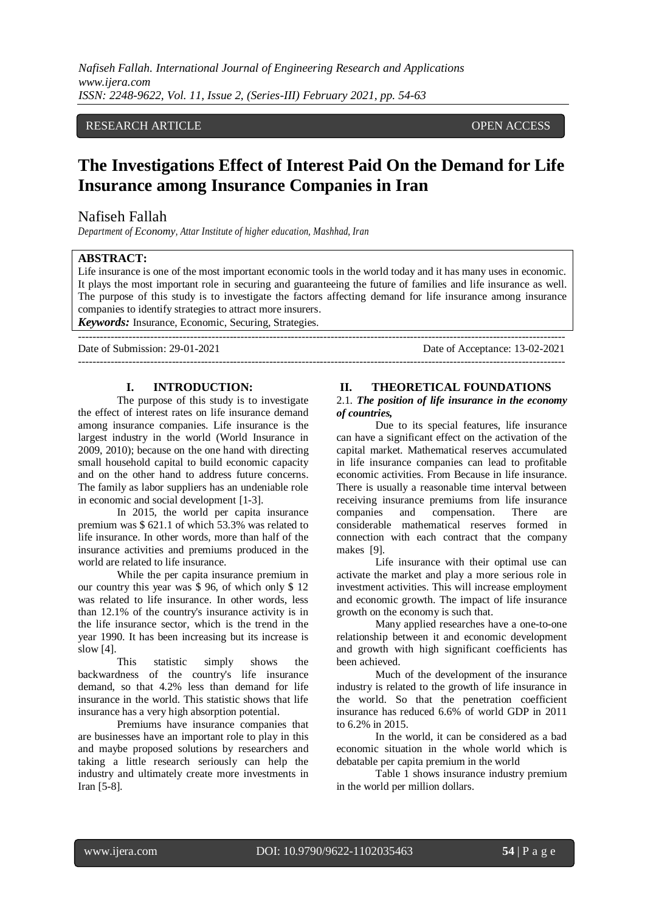*Nafiseh Fallah. International Journal of Engineering Research and Applications www.ijera.com ISSN: 2248-9622, Vol. 11, Issue 2, (Series-III) February 2021, pp. 54-63*

# RESEARCH ARTICLE **OPEN ACCESS**

# **The Investigations Effect of Interest Paid On the Demand for Life Insurance among Insurance Companies in Iran**

#### Nafiseh Fallah

*Department of Economy, Attar Institute of higher education, Mashhad, Iran*

#### **ABSTRACT:**

Life insurance is one of the most important economic tools in the world today and it has many uses in economic. It plays the most important role in securing and guaranteeing the future of families and life insurance as well. The purpose of this study is to investigate the factors affecting demand for life insurance among insurance companies to identify strategies to attract more insurers.

---------------------------------------------------------------------------------------------------------------------------------------

*Keywords:* Insurance, Economic, Securing, Strategies. ---------------------------------------------------------------------------------------------------------------------------------------

Date of Submission: 29-01-2021 Date of Acceptance: 13-02-2021

#### **I. INTRODUCTION:**

The purpose of this study is to investigate the effect of interest rates on life insurance demand among insurance companies. Life insurance is the largest industry in the world (World Insurance in 2009, 2010); because on the one hand with directing small household capital to build economic capacity and on the other hand to address future concerns. The family as labor suppliers has an undeniable role in economic and social development [1-3].

In 2015, the world per capita insurance premium was \$ 621.1 of which 53.3% was related to life insurance. In other words, more than half of the insurance activities and premiums produced in the world are related to life insurance.

While the per capita insurance premium in our country this year was \$ 96, of which only \$ 12 was related to life insurance. In other words, less than 12.1% of the country's insurance activity is in the life insurance sector, which is the trend in the year 1990. It has been increasing but its increase is slow [4].<br>This

statistic simply shows the backwardness of the country's life insurance demand, so that 4.2% less than demand for life insurance in the world. This statistic shows that life insurance has a very high absorption potential.

Premiums have insurance companies that are businesses have an important role to play in this and maybe proposed solutions by researchers and taking a little research seriously can help the industry and ultimately create more investments in Iran [5-8].

### **II. THEORETICAL FOUNDATIONS**

#### 2.1. *The position of life insurance in the economy of countries,*

Due to its special features, life insurance can have a significant effect on the activation of the capital market. Mathematical reserves accumulated in life insurance companies can lead to profitable economic activities. From Because in life insurance. There is usually a reasonable time interval between receiving insurance premiums from life insurance companies and compensation. There are considerable mathematical reserves formed in connection with each contract that the company makes [9].

Life insurance with their optimal use can activate the market and play a more serious role in investment activities. This will increase employment and economic growth. The impact of life insurance growth on the economy is such that.

Many applied researches have a one-to-one relationship between it and economic development and growth with high significant coefficients has been achieved.

Much of the development of the insurance industry is related to the growth of life insurance in the world. So that the penetration coefficient insurance has reduced 6.6% of world GDP in 2011 to 6.2% in 2015.

In the world, it can be considered as a bad economic situation in the whole world which is debatable per capita premium in the world

Table 1 shows insurance industry premium in the world per million dollars.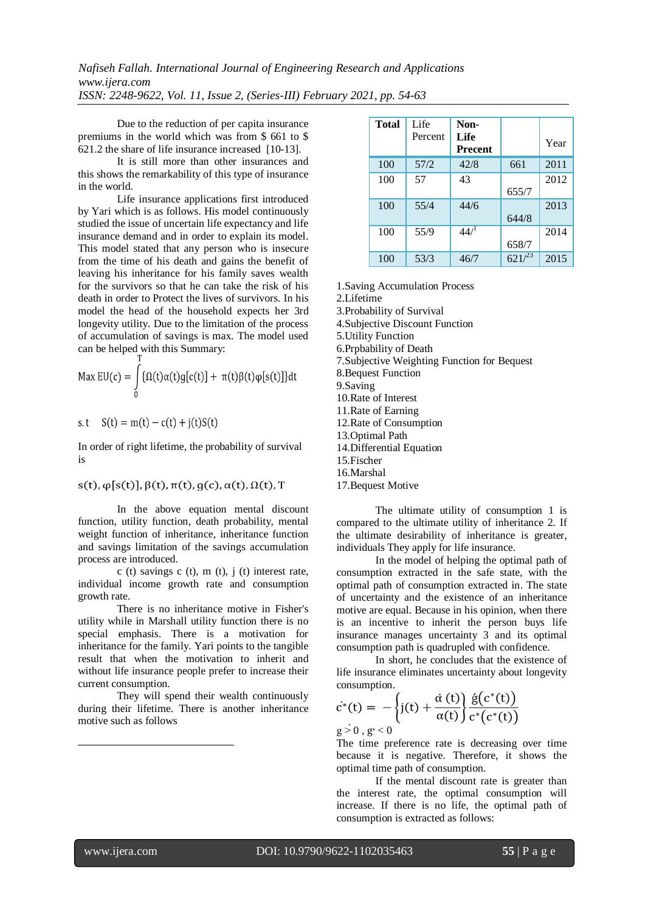Due to the reduction of per capita insurance premiums in the world which was from \$ 661 to \$ 621.2 the share of life insurance increased [10-13].

It is still more than other insurances and this shows the remarkability of this type of insurance in the world.

Life insurance applications first introduced by Yari which is as follows. His model continuously studied the issue of uncertain life expectancy and life insurance demand and in order to explain its model. This model stated that any person who is insecure from the time of his death and gains the benefit of leaving his inheritance for his family saves wealth for the survivors so that he can take the risk of his death in order to Protect the lives of survivors. In his model the head of the household expects her 3rd longevity utility. Due to the limitation of the process of accumulation of savings is max. The model used can be helped with this Summary:

$$
\text{Max EU}(c) = \int_{0}^{c} {\{\Omega(t)\alpha(t)g[c(t)] + \pi(t)\beta(t)\phi[s(t)]\}\text{dt}}
$$

s.t  $S(t) = m(t) - c(t) + i(t)S(t)$ 

In order of right lifetime, the probability of survival is

#### $s(t), \varphi[s(t)], \beta(t), \pi(t), g(c), \alpha(t), \Omega(t), T$

In the above equation mental discount function, utility function, death probability, mental weight function of inheritance, inheritance function and savings limitation of the savings accumulation process are introduced.

c (t) savings c (t), m (t),  $\mathbf{i}$  (t) interest rate, individual income growth rate and consumption growth rate.

There is no inheritance motive in Fisher's utility while in Marshall utility function there is no special emphasis. There is a motivation for inheritance for the family. Yari points to the tangible result that when the motivation to inherit and without life insurance people prefer to increase their current consumption.

They will spend their wealth continuously during their lifetime. There is another inheritance motive such as follows

| <b>Total</b> | Life<br>Percent | Non-<br>Life<br><b>Precent</b> |            | Year |
|--------------|-----------------|--------------------------------|------------|------|
| 100          | 57/2            | 42/8                           | 661        | 2011 |
| 100          | 57              | 43                             |            | 2012 |
|              |                 |                                | 655/7      |      |
| 100          | 55/4            | 44/6                           |            | 2013 |
|              |                 |                                | 644/8      |      |
| 100          | 55/9            | $44^{1}$                       |            | 2014 |
|              |                 |                                | 658/7      |      |
| 100          | 53/3            | 46/7                           | $621^{23}$ | 2015 |

1.Saving Accumulation Process

2.Lifetime

3.Probability of Survival

4.Subjective Discount Function

5.Utility Function

6.Prpbability of Death

7.Subjective Weighting Function for Bequest

8.Bequest Function

9.Saving

10.Rate of Interest

11.Rate of Earning

12.Rate of Consumption

13.Optimal Path

14.Differential Equation

15.Fischer

16.Marshal

17.Bequest Motive

The ultimate utility of consumption 1 is compared to the ultimate utility of inheritance 2. If the ultimate desirability of inheritance is greater, individuals They apply for life insurance.

In the model of helping the optimal path of consumption extracted in the safe state, with the optimal path of consumption extracted in. The state of uncertainty and the existence of an inheritance motive are equal. Because in his opinion, when there is an incentive to inherit the person buys life insurance manages uncertainty 3 and its optimal consumption path is quadrupled with confidence.

In short, he concludes that the existence of life insurance eliminates uncertainty about longevity consumption.

$$
\dot{c}^*(t) = -\left\{j(t) + \frac{\dot{\alpha}(t)}{\alpha(t)}\right\} \frac{\dot{g}(c^*(t))}{c^*(c^*(t))}
$$

 $g > 0$ ,  $g^* < 0$ 

The time preference rate is decreasing over time because it is negative. Therefore, it shows the optimal time path of consumption.

If the mental discount rate is greater than the interest rate, the optimal consumption will increase. If there is no life, the optimal path of consumption is extracted as follows:

1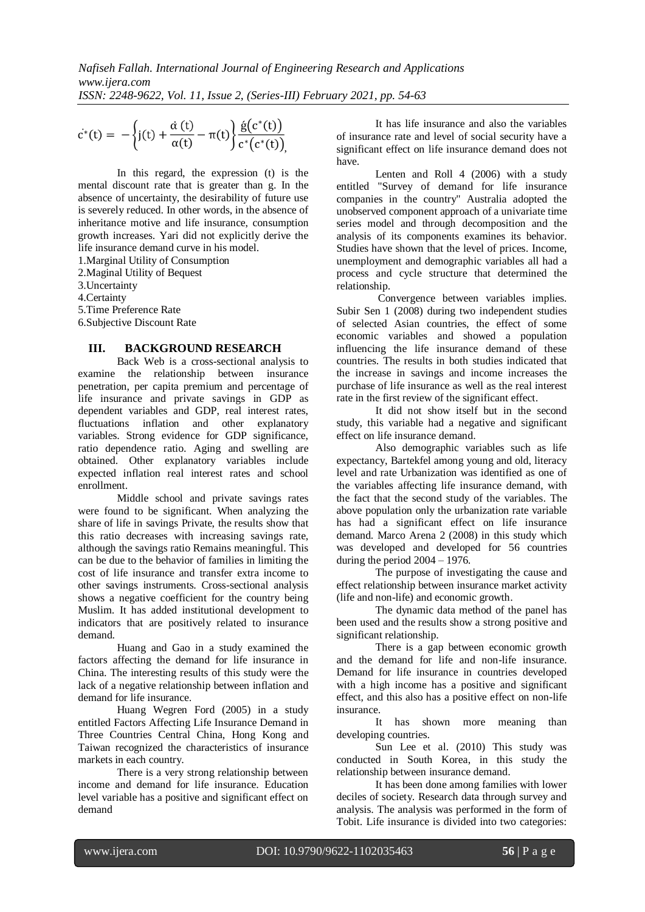$$
\dot{c}^*(t) = -\left\{j(t) + \frac{\dot{\alpha}(t)}{\alpha(t)} - \pi(t)\right\} \frac{\dot{g}(c^*(t))}{c^*(c^*(t))}
$$

In this regard, the expression (t) is the mental discount rate that is greater than g. In the absence of uncertainty, the desirability of future use is severely reduced. In other words, in the absence of inheritance motive and life insurance, consumption growth increases. Yari did not explicitly derive the life insurance demand curve in his model.

1.Marginal Utility of Consumption

2.Maginal Utility of Bequest

3.Uncertainty

4.Certainty

5.Time Preference Rate

6.Subjective Discount Rate

#### **III. BACKGROUND RESEARCH**

Back Web is a cross-sectional analysis to examine the relationship between insurance penetration, per capita premium and percentage of life insurance and private savings in GDP as dependent variables and GDP, real interest rates, fluctuations inflation and other explanatory variables. Strong evidence for GDP significance, ratio dependence ratio. Aging and swelling are obtained. Other explanatory variables include expected inflation real interest rates and school enrollment.

Middle school and private savings rates were found to be significant. When analyzing the share of life in savings Private, the results show that this ratio decreases with increasing savings rate, although the savings ratio Remains meaningful. This can be due to the behavior of families in limiting the cost of life insurance and transfer extra income to other savings instruments. Cross-sectional analysis shows a negative coefficient for the country being Muslim. It has added institutional development to indicators that are positively related to insurance demand.

Huang and Gao in a study examined the factors affecting the demand for life insurance in China. The interesting results of this study were the lack of a negative relationship between inflation and demand for life insurance.

Huang Wegren Ford (2005) in a study entitled Factors Affecting Life Insurance Demand in Three Countries Central China, Hong Kong and Taiwan recognized the characteristics of insurance markets in each country.

There is a very strong relationship between income and demand for life insurance. Education level variable has a positive and significant effect on demand

It has life insurance and also the variables of insurance rate and level of social security have a significant effect on life insurance demand does not have.

Lenten and Roll 4 (2006) with a study entitled "Survey of demand for life insurance companies in the country" Australia adopted the unobserved component approach of a univariate time series model and through decomposition and the analysis of its components examines its behavior. Studies have shown that the level of prices. Income, unemployment and demographic variables all had a process and cycle structure that determined the relationship.

Convergence between variables implies. Subir Sen 1 (2008) during two independent studies of selected Asian countries, the effect of some economic variables and showed a population influencing the life insurance demand of these countries. The results in both studies indicated that the increase in savings and income increases the purchase of life insurance as well as the real interest rate in the first review of the significant effect.

It did not show itself but in the second study, this variable had a negative and significant effect on life insurance demand.

Also demographic variables such as life expectancy, Bartekfel among young and old, literacy level and rate Urbanization was identified as one of the variables affecting life insurance demand, with the fact that the second study of the variables. The above population only the urbanization rate variable has had a significant effect on life insurance demand. Marco Arena 2 (2008) in this study which was developed and developed for 56 countries during the period  $2004 - 1976$ .

The purpose of investigating the cause and effect relationship between insurance market activity (life and non-life) and economic growth.

The dynamic data method of the panel has been used and the results show a strong positive and significant relationship.

There is a gap between economic growth and the demand for life and non-life insurance. Demand for life insurance in countries developed with a high income has a positive and significant effect, and this also has a positive effect on non-life insurance.

It has shown more meaning than developing countries.

Sun Lee et al. (2010) This study was conducted in South Korea, in this study the relationship between insurance demand.

It has been done among families with lower deciles of society. Research data through survey and analysis. The analysis was performed in the form of Tobit. Life insurance is divided into two categories: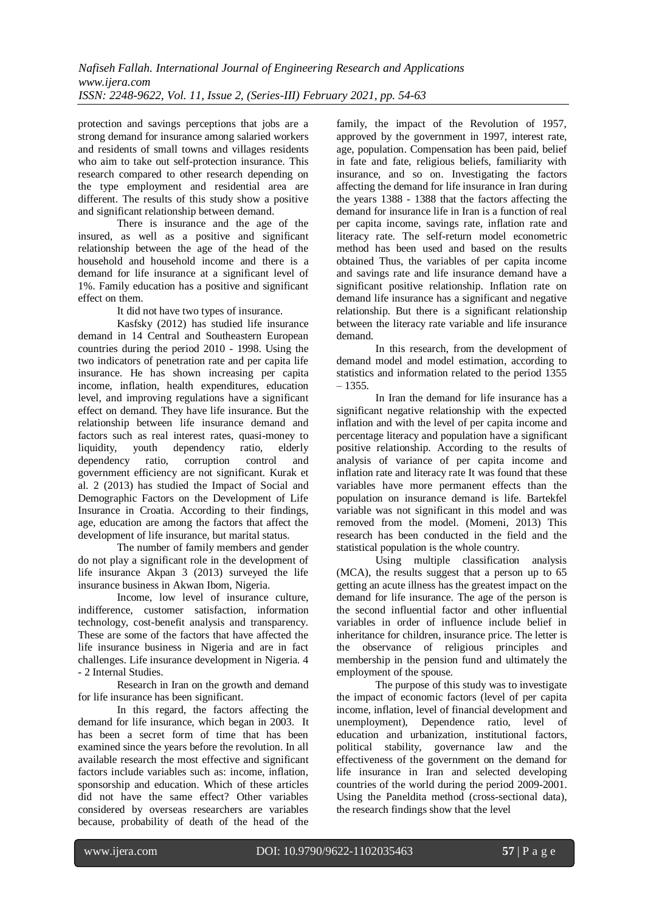protection and savings perceptions that jobs are a strong demand for insurance among salaried workers and residents of small towns and villages residents who aim to take out self-protection insurance. This research compared to other research depending on the type employment and residential area are different. The results of this study show a positive and significant relationship between demand.

There is insurance and the age of the insured, as well as a positive and significant relationship between the age of the head of the household and household income and there is a demand for life insurance at a significant level of 1%. Family education has a positive and significant effect on them.

It did not have two types of insurance.

Kasfsky (2012) has studied life insurance demand in 14 Central and Southeastern European countries during the period 2010 - 1998. Using the two indicators of penetration rate and per capita life insurance. He has shown increasing per capita income, inflation, health expenditures, education level, and improving regulations have a significant effect on demand. They have life insurance. But the relationship between life insurance demand and factors such as real interest rates, quasi-money to liquidity, youth dependency ratio, elderly dependency ratio, corruption control and government efficiency are not significant. Kurak et al. 2 (2013) has studied the Impact of Social and Demographic Factors on the Development of Life Insurance in Croatia. According to their findings, age, education are among the factors that affect the development of life insurance, but marital status.

The number of family members and gender do not play a significant role in the development of life insurance Akpan 3 (2013) surveyed the life insurance business in Akwan Ibom, Nigeria.

Income, low level of insurance culture, indifference, customer satisfaction, information technology, cost-benefit analysis and transparency. These are some of the factors that have affected the life insurance business in Nigeria and are in fact challenges. Life insurance development in Nigeria. 4 - 2 Internal Studies.

Research in Iran on the growth and demand for life insurance has been significant.

In this regard, the factors affecting the demand for life insurance, which began in 2003. It has been a secret form of time that has been examined since the years before the revolution. In all available research the most effective and significant factors include variables such as: income, inflation, sponsorship and education. Which of these articles did not have the same effect? Other variables considered by overseas researchers are variables because, probability of death of the head of the

family, the impact of the Revolution of 1957, approved by the government in 1997, interest rate, age, population. Compensation has been paid, belief in fate and fate, religious beliefs, familiarity with insurance, and so on. Investigating the factors affecting the demand for life insurance in Iran during the years 1388 - 1388 that the factors affecting the demand for insurance life in Iran is a function of real per capita income, savings rate, inflation rate and literacy rate. The self-return model econometric method has been used and based on the results obtained Thus, the variables of per capita income and savings rate and life insurance demand have a significant positive relationship. Inflation rate on demand life insurance has a significant and negative relationship. But there is a significant relationship between the literacy rate variable and life insurance demand.

In this research, from the development of demand model and model estimation, according to statistics and information related to the period 1355 – 1355.

In Iran the demand for life insurance has a significant negative relationship with the expected inflation and with the level of per capita income and percentage literacy and population have a significant positive relationship. According to the results of analysis of variance of per capita income and inflation rate and literacy rate It was found that these variables have more permanent effects than the population on insurance demand is life. Bartekfel variable was not significant in this model and was removed from the model. (Momeni, 2013) This research has been conducted in the field and the statistical population is the whole country.

Using multiple classification analysis (MCA), the results suggest that a person up to 65 getting an acute illness has the greatest impact on the demand for life insurance. The age of the person is the second influential factor and other influential variables in order of influence include belief in inheritance for children, insurance price. The letter is the observance of religious principles and membership in the pension fund and ultimately the employment of the spouse.

The purpose of this study was to investigate the impact of economic factors (level of per capita income, inflation, level of financial development and unemployment), Dependence ratio, level of education and urbanization, institutional factors, political stability, governance law and the effectiveness of the government on the demand for life insurance in Iran and selected developing countries of the world during the period 2009-2001. Using the Paneldita method (cross-sectional data), the research findings show that the level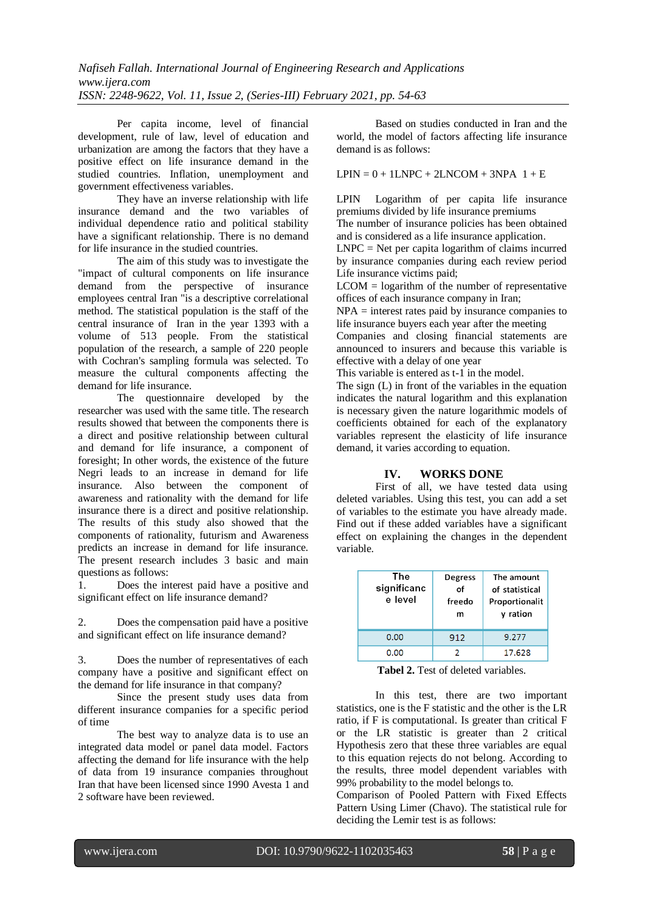Per capita income, level of financial development, rule of law, level of education and urbanization are among the factors that they have a positive effect on life insurance demand in the studied countries. Inflation, unemployment and government effectiveness variables.

They have an inverse relationship with life insurance demand and the two variables of individual dependence ratio and political stability have a significant relationship. There is no demand for life insurance in the studied countries.

The aim of this study was to investigate the "impact of cultural components on life insurance demand from the perspective of insurance employees central Iran "is a descriptive correlational method. The statistical population is the staff of the central insurance of Iran in the year 1393 with a volume of 513 people. From the statistical population of the research, a sample of 220 people with Cochran's sampling formula was selected. To measure the cultural components affecting the demand for life insurance.

The questionnaire developed by the researcher was used with the same title. The research results showed that between the components there is a direct and positive relationship between cultural and demand for life insurance, a component of foresight; In other words, the existence of the future Negri leads to an increase in demand for life insurance. Also between the component of awareness and rationality with the demand for life insurance there is a direct and positive relationship. The results of this study also showed that the components of rationality, futurism and Awareness predicts an increase in demand for life insurance. The present research includes 3 basic and main questions as follows:

1. Does the interest paid have a positive and significant effect on life insurance demand?

2. Does the compensation paid have a positive and significant effect on life insurance demand?

3. Does the number of representatives of each company have a positive and significant effect on the demand for life insurance in that company?

Since the present study uses data from different insurance companies for a specific period of time

The best way to analyze data is to use an integrated data model or panel data model. Factors affecting the demand for life insurance with the help of data from 19 insurance companies throughout Iran that have been licensed since 1990 Avesta 1 and 2 software have been reviewed.

Based on studies conducted in Iran and the world, the model of factors affecting life insurance demand is as follows:

 $LPIN = 0 + 1LNPC + 2LNCOM + 3NPA$   $1 + E$ 

LPIN Logarithm of per capita life insurance premiums divided by life insurance premiums

The number of insurance policies has been obtained and is considered as a life insurance application.

 $LNPC = Net per capita logarithm of claims incurred$ by insurance companies during each review period Life insurance victims paid;

 $LCDM = logarithm$  of the number of representative offices of each insurance company in Iran;

NPA = interest rates paid by insurance companies to life insurance buyers each year after the meeting

Companies and closing financial statements are announced to insurers and because this variable is effective with a delay of one year

This variable is entered as t-1 in the model.

The sign (L) in front of the variables in the equation indicates the natural logarithm and this explanation is necessary given the nature logarithmic models of coefficients obtained for each of the explanatory variables represent the elasticity of life insurance demand, it varies according to equation.

# **IV. WORKS DONE**

First of all, we have tested data using deleted variables. Using this test, you can add a set of variables to the estimate you have already made. Find out if these added variables have a significant effect on explaining the changes in the dependent variable.

| The<br>significanc<br>e level | <b>Degress</b><br>of<br>freedo<br>m | The amount<br>of statistical<br>Proportionalit<br>y ration |
|-------------------------------|-------------------------------------|------------------------------------------------------------|
| 0.00                          | 912                                 | 9.277                                                      |
| 0.00                          |                                     | 17.628                                                     |

**Tabel 2.** Test of deleted variables.

In this test, there are two important statistics, one is the F statistic and the other is the LR ratio, if F is computational. Is greater than critical F or the LR statistic is greater than 2 critical Hypothesis zero that these three variables are equal to this equation rejects do not belong. According to the results, three model dependent variables with 99% probability to the model belongs to.

Comparison of Pooled Pattern with Fixed Effects Pattern Using Limer (Chavo). The statistical rule for deciding the Lemir test is as follows: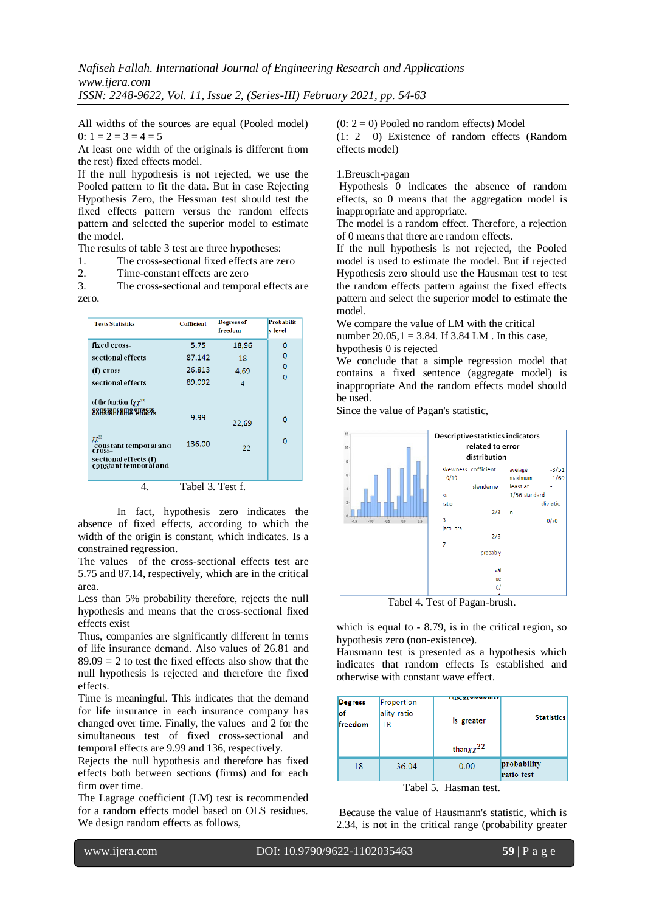All widths of the sources are equal (Pooled model) 0:  $1 = 2 = 3 = 4 = 5$ 

At least one width of the originals is different from the rest) fixed effects model.

If the null hypothesis is not rejected, we use the Pooled pattern to fit the data. But in case Rejecting Hypothesis Zero, the Hessman test should test the fixed effects pattern versus the random effects pattern and selected the superior model to estimate the model.

The results of table 3 test are three hypotheses:

1. The cross-sectional fixed effects are zero

2. Time-constant effects are zero

3. The cross-sectional and temporal effects are zero.

| <b>Tests Statistiks</b>                                                                                                                                                                                                                                           | Cofficient                                           | Degrees of<br>freedom                   | Probabilit<br>v level             |
|-------------------------------------------------------------------------------------------------------------------------------------------------------------------------------------------------------------------------------------------------------------------|------------------------------------------------------|-----------------------------------------|-----------------------------------|
| fixed cross-<br>sectional effects<br>(f) cross<br>sectional effects<br>of the function $f\chi\chi^{22}$<br>constant time effacts<br>constant time effacts<br>$\chi\chi^{22}$<br>constant temporal and<br>cross-<br>sectional effects (f)<br>constant temporal and | 5.75<br>87.142<br>26.813<br>89.092<br>9.99<br>136.00 | 18.96<br>18<br>4.69<br>4<br>22.69<br>22 | 0<br>0<br>0<br>$\Omega$<br>0<br>O |
|                                                                                                                                                                                                                                                                   | $Table 1.3$ Test f                                   |                                         |                                   |

4. Tabel 3. Test f.

In fact, hypothesis zero indicates the absence of fixed effects, according to which the width of the origin is constant, which indicates. Is a constrained regression.

The values of the cross-sectional effects test are 5.75 and 87.14, respectively, which are in the critical area.

Less than 5% probability therefore, rejects the null hypothesis and means that the cross-sectional fixed effects exist

Thus, companies are significantly different in terms of life insurance demand. Also values of 26.81 and  $89.09 = 2$  to test the fixed effects also show that the null hypothesis is rejected and therefore the fixed effects.

Time is meaningful. This indicates that the demand for life insurance in each insurance company has changed over time. Finally, the values and 2 for the simultaneous test of fixed cross-sectional and temporal effects are 9.99 and 136, respectively.

Rejects the null hypothesis and therefore has fixed effects both between sections (firms) and for each firm over time.

The Lagrage coefficient (LM) test is recommended for a random effects model based on OLS residues. We design random effects as follows,

 $(0: 2 = 0)$  Pooled no random effects) Model

(1: 2 0) Existence of random effects (Random effects model)

#### 1.Breusch-pagan

Hypothesis 0 indicates the absence of random effects, so 0 means that the aggregation model is inappropriate and appropriate.

The model is a random effect. Therefore, a rejection of 0 means that there are random effects.

If the null hypothesis is not rejected, the Pooled model is used to estimate the model. But if rejected Hypothesis zero should use the Hausman test to test the random effects pattern against the fixed effects pattern and select the superior model to estimate the model.

We compare the value of LM with the critical number 20.05, $1 = 3.84$ . If 3.84 LM . In this case,

# hypothesis 0 is rejected

We conclude that a simple regression model that contains a fixed sentence (aggregate model) is inappropriate And the random effects model should be used.

Since the value of Pagan's statistic,



Tabel 4. Test of Pagan-brush.

which is equal to - 8.79, is in the critical region, so hypothesis zero (non-existence).

Hausmann test is presented as a hypothesis which indicates that random effects Is established and otherwise with constant wave effect.

| <b>Degress</b> | Proportion  | <b>TIEVELYM</b>       | <b>Statistics</b>         |
|----------------|-------------|-----------------------|---------------------------|
| lof            | ality ratio | is greater            |                           |
| freedom        | -lr         | than $\chi \chi^{22}$ |                           |
| 18             | 36.04       | 0.00                  | probability<br>ratio test |

Tabel 5. Hasman test.

Because the value of Hausmann's statistic, which is 2.34, is not in the critical range (probability greater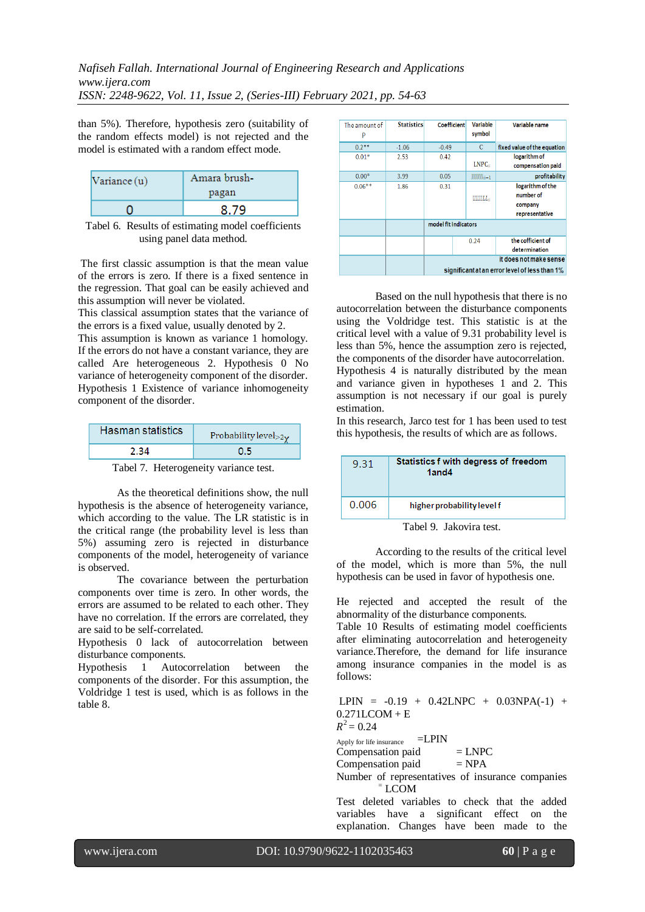*Nafiseh Fallah. International Journal of Engineering Research and Applications www.ijera.com ISSN: 2248-9622, Vol. 11, Issue 2, (Series-III) February 2021, pp. 54-63*

than 5%). Therefore, hypothesis zero (suitability of the random effects model) is not rejected and the model is estimated with a random effect mode.

| $\text{Variance}(\mathbf{u})$ | Amara brush-<br>pagan |
|-------------------------------|-----------------------|
|                               |                       |

Tabel 6. Results of estimating model coefficients using panel data method.

The first classic assumption is that the mean value of the errors is zero. If there is a fixed sentence in the regression. That goal can be easily achieved and this assumption will never be violated.

This classical assumption states that the variance of the errors is a fixed value, usually denoted by 2.

This assumption is known as variance 1 homology. If the errors do not have a constant variance, they are called Are heterogeneous 2. Hypothesis 0 No variance of heterogeneity component of the disorder. Hypothesis 1 Existence of variance inhomogeneity component of the disorder.

| Hasman statistics | Probability level $>2\gamma$ |
|-------------------|------------------------------|
|                   |                              |

Tabel 7. Heterogeneity variance test.

As the theoretical definitions show, the null hypothesis is the absence of heterogeneity variance, which according to the value. The LR statistic is in the critical range (the probability level is less than 5%) assuming zero is rejected in disturbance components of the model, heterogeneity of variance is observed.

The covariance between the perturbation components over time is zero. In other words, the errors are assumed to be related to each other. They have no correlation. If the errors are correlated, they are said to be self-correlated.

Hypothesis 0 lack of autocorrelation between disturbance components.

Hypothesis 1 Autocorrelation between the components of the disorder. For this assumption, the Voldridge 1 test is used, which is as follows in the table 8.

| The amount of<br>P | <b>Statistics</b> | <b>Coefficient</b>   | <b>Variable</b><br>symbol | Variable name                                                           |
|--------------------|-------------------|----------------------|---------------------------|-------------------------------------------------------------------------|
| $0.2***$           | $-1.06$           | $-0.49$              | C                         | fixed value of the equation                                             |
| $0.01*$            | 2.53              | 0.42                 |                           | logarithm of                                                            |
|                    |                   |                      | LNPC                      | compensation paid                                                       |
| $0.00*$            | 3.99              | 0.05                 | $NNNNN$ $m-1$             | profitability                                                           |
| $0.06**$           | 1.86              | 0.31                 | $UUUULL =$                | logarithm of the<br>number of<br>company<br>representative              |
|                    |                   | model fit indicators |                           |                                                                         |
|                    |                   |                      | 0.24                      | the cofficient of<br>determination                                      |
|                    |                   |                      |                           | it does not make sense<br>significant at an error level of less than 1% |

Based on the null hypothesis that there is no autocorrelation between the disturbance components using the Voldridge test. This statistic is at the critical level with a value of 9.31 probability level is less than 5%, hence the assumption zero is rejected, the components of the disorder have autocorrelation. Hypothesis 4 is naturally distributed by the mean and variance given in hypotheses 1 and 2. This assumption is not necessary if our goal is purely estimation.

In this research, Jarco test for 1 has been used to test this hypothesis, the results of which are as follows.

| 9.31  | Statistics f with degress of freedom<br>1and4 |
|-------|-----------------------------------------------|
| 0.006 | higher probability level f                    |

Tabel 9. Jakovira test.

According to the results of the critical level of the model, which is more than 5%, the null hypothesis can be used in favor of hypothesis one.

He rejected and accepted the result of the abnormality of the disturbance components.

Table 10 Results of estimating model coefficients after eliminating autocorrelation and heterogeneity variance.Therefore, the demand for life insurance among insurance companies in the model is as follows:

LPIN =  $-0.19 + 0.42$ LNPC +  $0.03$ NPA $(-1)$  + 0.271LCOM + E  $R^2$  = 0.24

Apply for life insurance  $=LPIN$ 

 $Compensation paid = LNPC$ 

Compensation paid  $= NPA$ 

Number of representatives of insurance companies <sup>=</sup> LCOM

Test deleted variables to check that the added variables have a significant effect on the explanation. Changes have been made to the

www.ijera.com DOI: 10.9790/9622-1102035463 **60** | P a g e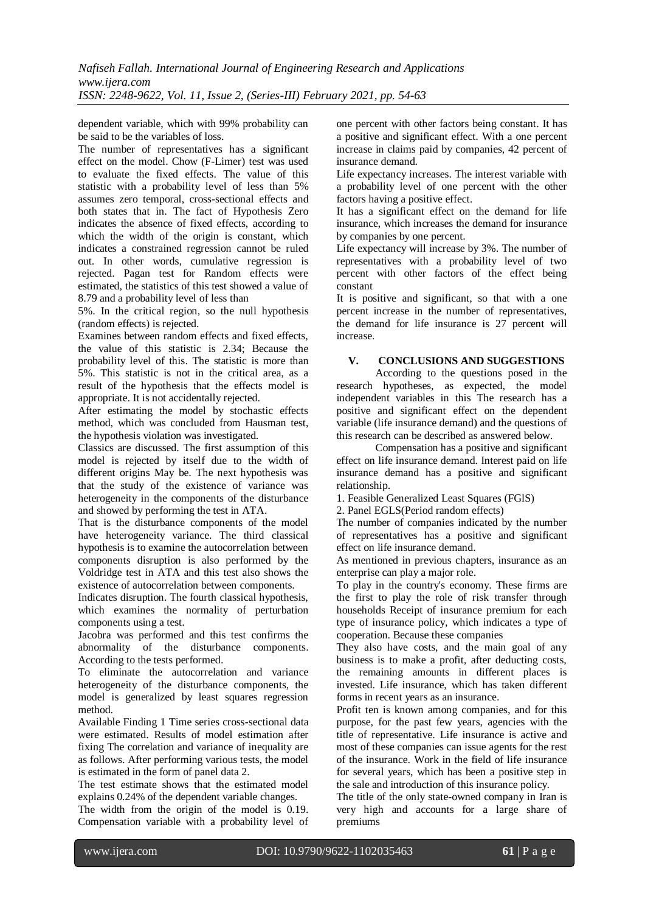dependent variable, which with 99% probability can be said to be the variables of loss.

The number of representatives has a significant effect on the model. Chow (F-Limer) test was used to evaluate the fixed effects. The value of this statistic with a probability level of less than 5% assumes zero temporal, cross-sectional effects and both states that in. The fact of Hypothesis Zero indicates the absence of fixed effects, according to which the width of the origin is constant, which indicates a constrained regression cannot be ruled out. In other words, cumulative regression is rejected. Pagan test for Random effects were estimated, the statistics of this test showed a value of 8.79 and a probability level of less than

5%. In the critical region, so the null hypothesis (random effects) is rejected.

Examines between random effects and fixed effects, the value of this statistic is 2.34; Because the probability level of this. The statistic is more than 5%. This statistic is not in the critical area, as a result of the hypothesis that the effects model is appropriate. It is not accidentally rejected.

After estimating the model by stochastic effects method, which was concluded from Hausman test, the hypothesis violation was investigated.

Classics are discussed. The first assumption of this model is rejected by itself due to the width of different origins May be. The next hypothesis was that the study of the existence of variance was heterogeneity in the components of the disturbance and showed by performing the test in ATA.

That is the disturbance components of the model have heterogeneity variance. The third classical hypothesis is to examine the autocorrelation between components disruption is also performed by the Voldridge test in ATA and this test also shows the existence of autocorrelation between components.

Indicates disruption. The fourth classical hypothesis, which examines the normality of perturbation components using a test.

Jacobra was performed and this test confirms the abnormality of the disturbance components. According to the tests performed.

To eliminate the autocorrelation and variance heterogeneity of the disturbance components, the model is generalized by least squares regression method.

Available Finding 1 Time series cross-sectional data were estimated. Results of model estimation after fixing The correlation and variance of inequality are as follows. After performing various tests, the model is estimated in the form of panel data 2.

The test estimate shows that the estimated model explains 0.24% of the dependent variable changes.

The width from the origin of the model is 0.19. Compensation variable with a probability level of one percent with other factors being constant. It has a positive and significant effect. With a one percent increase in claims paid by companies, 42 percent of insurance demand.

Life expectancy increases. The interest variable with a probability level of one percent with the other factors having a positive effect.

It has a significant effect on the demand for life insurance, which increases the demand for insurance by companies by one percent.

Life expectancy will increase by 3%. The number of representatives with a probability level of two percent with other factors of the effect being constant

It is positive and significant, so that with a one percent increase in the number of representatives, the demand for life insurance is 27 percent will increase.

## **V. CONCLUSIONS AND SUGGESTIONS**

According to the questions posed in the research hypotheses, as expected, the model independent variables in this The research has a positive and significant effect on the dependent variable (life insurance demand) and the questions of this research can be described as answered below.

Compensation has a positive and significant effect on life insurance demand. Interest paid on life insurance demand has a positive and significant relationship.

1. Feasible Generalized Least Squares (FGlS)

2. Panel EGLS(Period random effects)

The number of companies indicated by the number of representatives has a positive and significant effect on life insurance demand.

As mentioned in previous chapters, insurance as an enterprise can play a major role.

To play in the country's economy. These firms are the first to play the role of risk transfer through households Receipt of insurance premium for each type of insurance policy, which indicates a type of cooperation. Because these companies

They also have costs, and the main goal of any business is to make a profit, after deducting costs, the remaining amounts in different places is invested. Life insurance, which has taken different forms in recent years as an insurance.

Profit ten is known among companies, and for this purpose, for the past few years, agencies with the title of representative. Life insurance is active and most of these companies can issue agents for the rest of the insurance. Work in the field of life insurance for several years, which has been a positive step in the sale and introduction of this insurance policy.

The title of the only state-owned company in Iran is very high and accounts for a large share of premiums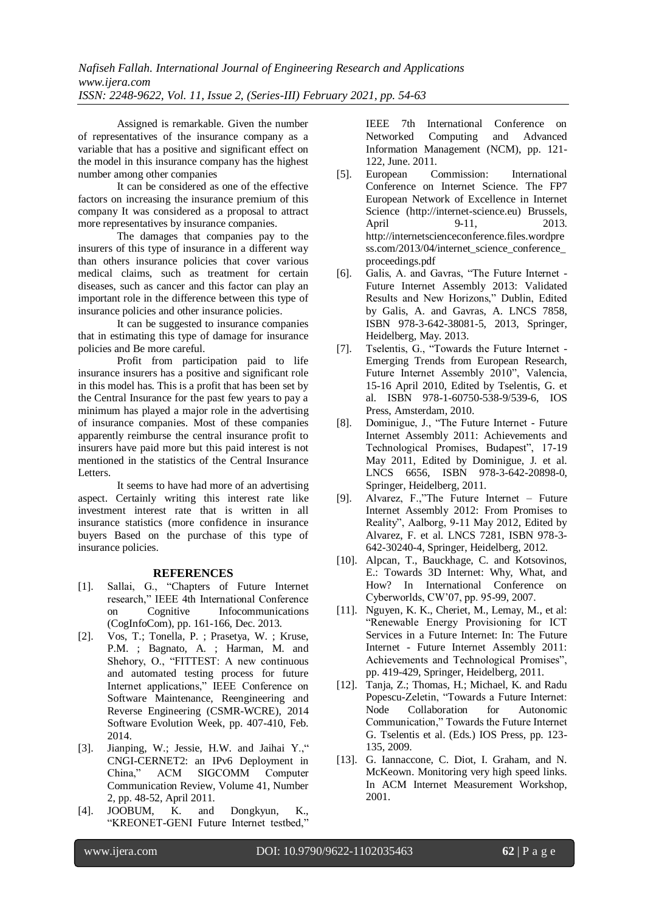Assigned is remarkable. Given the number of representatives of the insurance company as a variable that has a positive and significant effect on the model in this insurance company has the highest number among other companies

It can be considered as one of the effective factors on increasing the insurance premium of this company It was considered as a proposal to attract more representatives by insurance companies.

The damages that companies pay to the insurers of this type of insurance in a different way than others insurance policies that cover various medical claims, such as treatment for certain diseases, such as cancer and this factor can play an important role in the difference between this type of insurance policies and other insurance policies.

It can be suggested to insurance companies that in estimating this type of damage for insurance policies and Be more careful.

Profit from participation paid to life insurance insurers has a positive and significant role in this model has. This is a profit that has been set by the Central Insurance for the past few years to pay a minimum has played a major role in the advertising of insurance companies. Most of these companies apparently reimburse the central insurance profit to insurers have paid more but this paid interest is not mentioned in the statistics of the Central Insurance Letters.

It seems to have had more of an advertising aspect. Certainly writing this interest rate like investment interest rate that is written in all insurance statistics (more confidence in insurance buyers Based on the purchase of this type of insurance policies.

#### **REFERENCES**

- [1]. Sallai, G., "Chapters of Future Internet research," IEEE 4th International Conference on Cognitive Infocommunications (CogInfoCom), pp. 161-166, Dec. 2013.
- [2]. Vos, T.; Tonella, P. ; Prasetya, W. ; Kruse, P.M. ; Bagnato, A. ; Harman, M. and Shehory, O., "FITTEST: A new continuous and automated testing process for future Internet applications," IEEE Conference on Software Maintenance, Reengineering and Reverse Engineering (CSMR-WCRE), 2014 Software Evolution Week, pp. 407-410, Feb. 2014.
- [3]. Jianping, W.; Jessie, H.W. and Jaihai Y.," CNGI-CERNET2: an IPv6 Deployment in China," ACM SIGCOMM Computer Communication Review, Volume 41, Number 2, pp. 48-52, April 2011.
- [4]. JOOBUM, K. and Dongkyun, K., "KREONET-GENI Future Internet testbed,"

IEEE 7th International Conference on Networked Computing and Advanced Information Management (NCM), pp. 121- 122, June. 2011.

- [5]. European Commission: International Conference on Internet Science. The FP7 European Network of Excellence in Internet Science (http://internet-science.eu) Brussels, April 9-11, 2013. http://internetscienceconference.files.wordpre ss.com/2013/04/internet\_science\_conference\_ proceedings.pdf
- [6]. Galis, A. and Gavras, "The Future Internet Future Internet Assembly 2013: Validated Results and New Horizons," Dublin, Edited by Galis, A. and Gavras, A. LNCS 7858, ISBN 978-3-642-38081-5, 2013, Springer, Heidelberg, May. 2013.
- [7]. Tselentis, G., "Towards the Future Internet Emerging Trends from European Research, Future Internet Assembly 2010", Valencia, 15-16 April 2010, Edited by Tselentis, G. et al. ISBN 978-1-60750-538-9/539-6, IOS Press, Amsterdam, 2010.
- [8]. Dominigue, J., "The Future Internet Future Internet Assembly 2011: Achievements and Technological Promises, Budapest", 17-19 May 2011, Edited by Dominigue, J. et al. LNCS 6656, ISBN 978-3-642-20898-0, Springer, Heidelberg, 2011.
- [9]. Alvarez, F.,"The Future Internet Future Internet Assembly 2012: From Promises to Reality", Aalborg, 9-11 May 2012, Edited by Alvarez, F. et al. LNCS 7281, ISBN 978-3- 642-30240-4, Springer, Heidelberg, 2012.
- [10]. Alpcan, T., Bauckhage, C. and Kotsovinos, E.: Towards 3D Internet: Why, What, and How? In International Conference on Cyberworlds, CW'07, pp. 95-99, 2007.
- [11]. Nguyen, K. K., Cheriet, M., Lemay, M., et al: "Renewable Energy Provisioning for ICT Services in a Future Internet: In: The Future Internet - Future Internet Assembly 2011: Achievements and Technological Promises", pp. 419-429, Springer, Heidelberg, 2011.
- [12]. Tanja, Z.; Thomas, H.; Michael, K. and Radu Popescu-Zeletin, "Towards a Future Internet: Node Collaboration for Autonomic Communication," Towards the Future Internet G. Tselentis et al. (Eds.) IOS Press, pp. 123- 135, 2009.
- [13]. G. Iannaccone, C. Diot, I. Graham, and N. McKeown. Monitoring very high speed links. In ACM Internet Measurement Workshop, 2001.